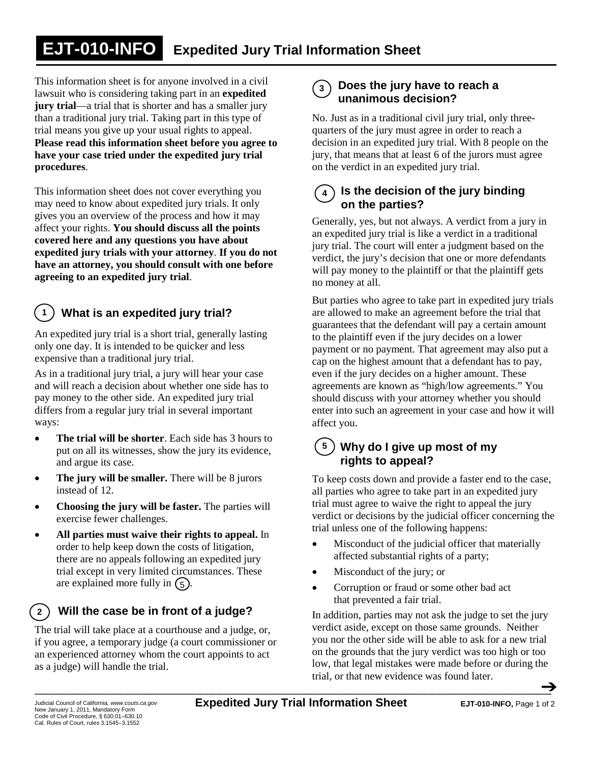### **Expedited Jury Trial Information Sheet EJT-010-INFO**

This information sheet is for anyone involved in a civil lawsuit who is considering taking part in an **expedited jury trial**—a trial that is shorter and has a smaller jury than a traditional jury trial. Taking part in this type of trial means you give up your usual rights to appeal. **Please read this information sheet before you agree to have your case tried under the expedited jury trial procedures**.

This information sheet does not cover everything you may need to know about expedited jury trials. It only gives you an overview of the process and how it may affect your rights. **You should discuss all the points covered here and any questions you have about expedited jury trials with your attorney**. **If you do not have an attorney, you should consult with one before agreeing to an expedited jury trial**.

#### **What is an expedited jury trial? 1**

An expedited jury trial is a short trial, generally lasting only one day. It is intended to be quicker and less expensive than a traditional jury trial.

As in a traditional jury trial, a jury will hear your case and will reach a decision about whether one side has to pay money to the other side. An expedited jury trial differs from a regular jury trial in several important ways:

- **The trial will be shorter**. Each side has 3 hours to put on all its witnesses, show the jury its evidence, and argue its case.
- **The jury will be smaller.** There will be 8 jurors instead of 12.
- **Choosing the jury will be faster.** The parties will exercise fewer challenges.
- **All parties must waive their rights to appeal.** In order to help keep down the costs of litigation, there are no appeals following an expedited jury trial except in very limited circumstances. These are explained more fully in  $(5)$ .

## **2 Will the case be in front of a judge?**

The trial will take place at a courthouse and a judge, or, if you agree, a temporary judge (a court commissioner or an experienced attorney whom the court appoints to act as a judge) will handle the trial.

#### **Does the jury have to reach a unanimous decision? 3**

No. Just as in a traditional civil jury trial, only threequarters of the jury must agree in order to reach a decision in an expedited jury trial. With 8 people on the jury, that means that at least 6 of the jurors must agree on the verdict in an expedited jury trial.

#### **Is the decision of the jury binding on the parties? 4**

Generally, yes, but not always. A verdict from a jury in an expedited jury trial is like a verdict in a traditional jury trial. The court will enter a judgment based on the verdict, the jury's decision that one or more defendants will pay money to the plaintiff or that the plaintiff gets no money at all.

But parties who agree to take part in expedited jury trials are allowed to make an agreement before the trial that guarantees that the defendant will pay a certain amount to the plaintiff even if the jury decides on a lower payment or no payment. That agreement may also put a cap on the highest amount that a defendant has to pay, even if the jury decides on a higher amount. These agreements are known as "high/low agreements." You should discuss with your attorney whether you should enter into such an agreement in your case and how it will affect you.

## **Why do I give up most of my 5 rights to appeal?**

To keep costs down and provide a faster end to the case, all parties who agree to take part in an expedited jury trial must agree to waive the right to appeal the jury verdict or decisions by the judicial officer concerning the trial unless one of the following happens:

- Misconduct of the judicial officer that materially affected substantial rights of a party;
- Misconduct of the jury; or
- Corruption or fraud or some other bad act that prevented a fair trial.

In addition, parties may not ask the judge to set the jury verdict aside, except on those same grounds. Neither you nor the other side will be able to ask for a new trial on the grounds that the jury verdict was too high or too low, that legal mistakes were made before or during the trial, or that new evidence was found later.

\_\_\_\_\_\_\_\_\_\_\_\_\_\_\_\_\_\_\_\_\_\_\_\_\_\_\_\_\_\_\_\_\_\_\_\_\_\_\_\_\_\_\_\_\_\_\_\_\_\_\_\_\_\_\_\_\_\_\_\_\_\_\_\_\_\_\_\_\_\_\_\_\_\_\_\_\_\_\_\_\_\_\_\_\_\_\_\_\_\_\_\_\_\_\_\_\_\_\_\_\_\_\_\_\_\_\_\_\_\_\_\_\_\_\_\_\_\_\_\_\_\_\_\_\_\_\_\_\_\_\_\_\_\_